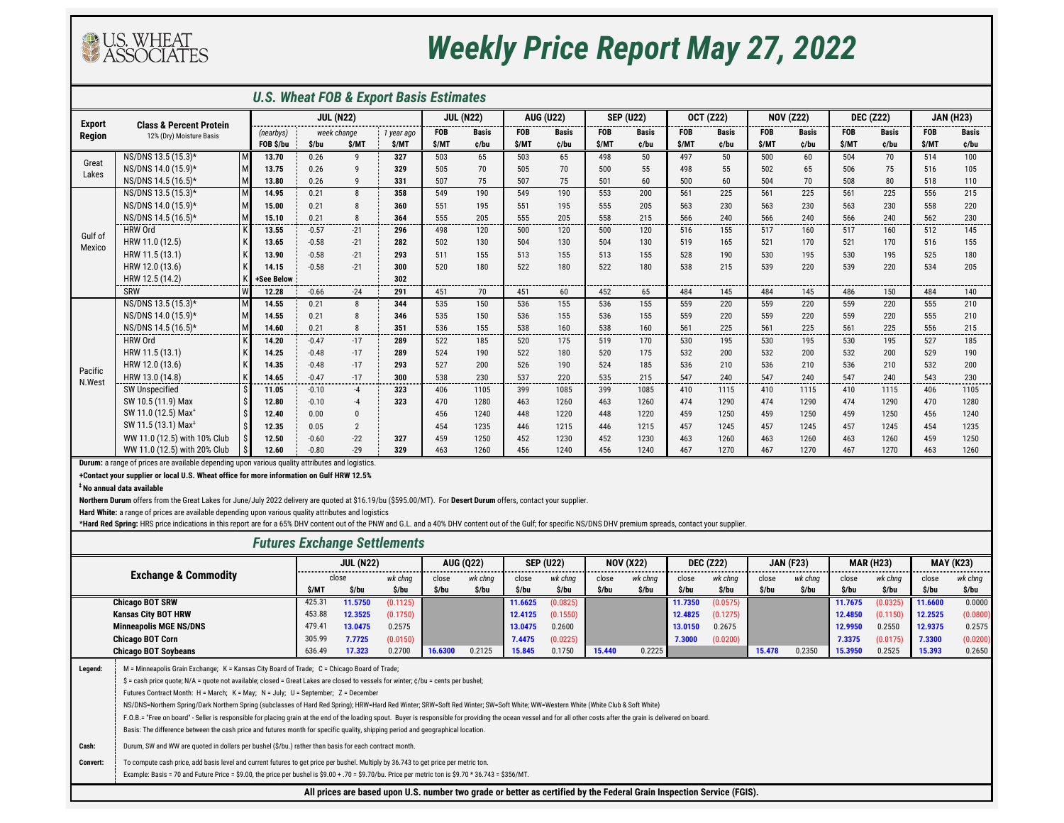**+Contact your supplier or local U.S. Wheat office for more information on Gulf HRW 12.5%**

**‡ No annual data available**

### *Futures Exchange Settlements*

|               |                                    |                  |         |                | <b>U.S. Wheat FOB &amp; Export Basis Estimates</b> |              |                  |            |                  |              |                  |            |                  |            |                  |            |                  |               |                |
|---------------|------------------------------------|------------------|---------|----------------|----------------------------------------------------|--------------|------------------|------------|------------------|--------------|------------------|------------|------------------|------------|------------------|------------|------------------|---------------|----------------|
| <b>Export</b> | <b>Class &amp; Percent Protein</b> | <b>JUL (N22)</b> |         |                | <b>JUL (N22)</b>                                   |              | <b>AUG (U22)</b> |            | <b>SEP (U22)</b> |              | <b>OCT (Z22)</b> |            | <b>NOV (Z22)</b> |            | <b>DEC (Z22)</b> |            | <b>JAN (H23)</b> |               |                |
| <b>Region</b> | 12% (Dry) Moisture Basis           | (nearbys)        |         | week change    | 1 year ago                                         | <b>FOB</b>   | <b>Basis</b>     | <b>FOB</b> | <b>Basis</b>     | <b>FOB</b>   | <b>Basis</b>     | <b>FOB</b> | <b>Basis</b>     | <b>FOB</b> | <b>Basis</b>     | <b>FOB</b> | <b>Basis</b>     | <b>FOB</b>    | <b>Basis</b>   |
|               |                                    | FOB \$/bu        | \$/bu   | \$/MT          | \$/MT                                              | \$/MT        | ¢/bu             | \$/MT      | ¢/bu             | \$/MT        | c/bu             | \$/MT      | ¢/bu             | \$/MT      | ¢/bu             | \$/MT      | ¢/bu             | \$/MT         | ¢/bu           |
| Great         | NS/DNS 13.5 (15.3)*                | 13.70            | 0.26    | Q.             | 327                                                | 503          | 65               | 503        | 65               | 498          | 50               | 497        | 50               | 500        | 60               | 504        | 70               | 514           | 100            |
| Lakes         | NS/DNS 14.0 (15.9)*                | 13.75            | 0.26    | Q              | 329                                                | 505          | 70               | 505        | 70               | 500          | 55               | 498        | 55               | 502        | 65               | 506        | 75               | 516           | 105            |
|               | NS/DNS 14.5 (16.5)*                | 13.80            | 0.26    | q              | 331                                                | 507          | 75               | 507        | 75               | 501          | 60               | 500        | 60               | 504        | 70               | 508        | 80               | 518           | 110            |
|               | NS/DNS 13.5 (15.3)*                | 14.95            | 0.21    | $\mathbf{8}$   | 358                                                | 549          | 190              | 549        | 190              | 553          | 200              | 561        | 225              | 561        | 225              | 561        | 225              | 556           | 215            |
|               | NS/DNS 14.0 (15.9)*                | 15.00            | 0.21    | -8             | 360                                                | 551          | 195              | 551        | 195              | 555          | 205              | 563        | 230              | 563        | 230              | 563        | 230              | 558           | 220            |
|               | NS/DNS 14.5 (16.5)*                | 15.10            | 0.21    | 8<br>-----     | 364                                                | 555<br>----- | 205<br>-----     | 555        | 205<br>-----     | 558<br>----- | 215              | 566        | 240<br>-----     | 566        | 240              | 566        | 240<br>-----     | 562<br>------ | 230<br>------- |
| Gulf of       | <b>HRW Ord</b>                     | 13.55            | $-0.57$ | $-21$          | 296                                                | 498          | 120              | 500        | 120              | 500          | 120              | 516        | 155              | 517        | 160              | 517        | 160              | 512           | 145            |
| Mexico        | HRW 11.0 (12.5)                    | 13.65            | $-0.58$ | $-21$          | 282                                                | 502          | 130              | 504        | 130              | 504          | 130              | 519        | 165              | 521        | 170              | 521        | 170              | 516           | 155            |
|               | HRW 11.5 (13.1)                    | 13.90            | $-0.58$ | $-21$          | 293                                                | 511          | 155              | 513        | 155              | 513          | 155              | 528        | 190              | 530        | 195              | 530        | 195              | 525           | 180            |
|               | HRW 12.0 (13.6)                    | 14.15            | $-0.58$ | $-21$          | 300                                                | 520          | 180              | 522        | 180              | 522          | 180              | 538        | 215              | 539        | 220              | 539        | 220              | 534           | 205            |
|               | HRW 12.5 (14.2)                    | +See Below       |         |                | 302                                                |              |                  |            |                  |              |                  |            |                  |            |                  |            |                  |               |                |
|               | SRW<br>W                           | 12.28            | $-0.66$ | $-24$          | 291                                                | 451          | 70               | 451        | 60               | 452          | 65               | 484        | 145              | 484        | 145              | 486        | 150              | 484           | 140            |
|               | NS/DNS 13.5 (15.3)*                | 14.55            | 0.21    | 8              | 344                                                | 535          | 150              | 536        | 155              | 536          | 155              | 559        | 220              | 559        | 220              | 559        | 220              | 555           | 210            |
|               | NS/DNS 14.0 (15.9)*                | 14.55            | 0.21    | 8              | 346                                                | 535          | 150              | 536        | 155              | 536          | 155              | 559        | 220              | 559        | 220              | 559        | 220              | 555           | 210            |
|               | NS/DNS 14.5 (16.5)*                | 14.60            | 0.21    | 8              | 351                                                | 536          | 155              | 538        | 160              | 538          | 160              | 561        | 225              | 561        | 225              | 561        | 225              | 556           | 215            |
|               | <b>HRW Ord</b>                     | 14.20            | $-0.47$ | $-17$          | 289                                                | 522          | 185              | 520        | 175              | 519          | 170              | 530        | 195              | 530        | 195              | 530        | 195              | 527           | 185            |
|               | HRW 11.5 (13.1)                    | 14.25            | $-0.48$ | $-17$          | 289                                                | 524          | 190              | 522        | 180              | 520          | 175              | 532        | 200              | 532        | 200              | 532        | 200              | 529           | 190            |
| Pacific       | HRW 12.0 (13.6)                    | 14.35            | $-0.48$ | $-17$          | 293                                                | 527          | 200              | 526        | 190              | 524          | 185              | 536        | 210              | 536        | 210              | 536        | 210              | 532           | 200            |
| N.West        | HRW 13.0 (14.8)                    | 14.65            | $-0.47$ | $-17$          | 300                                                | 538          | 230              | 537        | 220              | 535          | 215              | 547        | 240              | 547        | 240              | 547        | 240              | 543           | 230            |
|               | <b>SW Unspecified</b>              | 11.05            | $-0.10$ | -4             | 323                                                | 406          | 1105             | 399        | 1085             | 399          | 1085             | 410        | 1115             | 410        | 1115             | 410        | 1115             | 406           | 1105           |
|               | SW 10.5 (11.9) Max                 | 12.80            | $-0.10$ | $-4$           | 323                                                | 470          | 1280             | 463        | 1260             | 463          | 1260             | 474        | 1290             | 474        | 1290             | 474        | 1290             | 470           | 1280           |
|               | SW 11.0 (12.5) Max <sup>+</sup>    | 12.40            | 0.00    | $\Omega$       |                                                    | 456          | 1240             | 448        | 1220             | 448          | 1220             | 459        | 1250             | 459        | 1250             | 459        | 1250             | 456           | 1240           |
|               | SW 11.5 (13.1) Max <sup>1</sup>    | 12.35            | 0.05    | $\overline{2}$ |                                                    | 454          | 1235             | 446        | 1215             | 446          | 1215             | 457        | 1245             | 457        | 1245             | 457        | 1245             | 454           | 1235           |
|               | WW 11.0 (12.5) with 10% Club       | 12.50            | $-0.60$ | $-22$          | 327                                                | 459          | 1250             | 452        | 1230             | 452          | 1230             | 463        | 1260             | 463        | 1260             | 463        | 1260             | 459           | 1250           |
|               | WW 11.0 (12.5) with 20% Club       | 12.60            | $-0.80$ | $-29$          | 329                                                | 463          | 1260             | 456        | 1240             | 456          | 1240             | 467        | 1270             | 467        | 1270             | 467        | 1270             | 463           | 1260           |

| <b>FULUICS LAGHAILLE SCLUCIFIERS</b> |                                                                                                                                                                                                                                                                                                                                                                                                                                                                                                                                                                                                                                                                                                                                           |        |                                                                                                                        |          |         |                  |         |                  |        |                  |         |                  |        |                  |         |                  |         |                  |
|--------------------------------------|-------------------------------------------------------------------------------------------------------------------------------------------------------------------------------------------------------------------------------------------------------------------------------------------------------------------------------------------------------------------------------------------------------------------------------------------------------------------------------------------------------------------------------------------------------------------------------------------------------------------------------------------------------------------------------------------------------------------------------------------|--------|------------------------------------------------------------------------------------------------------------------------|----------|---------|------------------|---------|------------------|--------|------------------|---------|------------------|--------|------------------|---------|------------------|---------|------------------|
|                                      |                                                                                                                                                                                                                                                                                                                                                                                                                                                                                                                                                                                                                                                                                                                                           |        | <b>JUL (N22)</b>                                                                                                       |          |         | <b>AUG (Q22)</b> |         | <b>SEP (U22)</b> |        | <b>NOV (X22)</b> |         | <b>DEC (Z22)</b> |        | <b>JAN (F23)</b> |         | <b>MAR (H23)</b> |         | <b>MAY (K23)</b> |
|                                      | <b>Exchange &amp; Commodity</b>                                                                                                                                                                                                                                                                                                                                                                                                                                                                                                                                                                                                                                                                                                           |        | close                                                                                                                  | wk chng  | close   | wk chng          | close   | wk chng          | close  | wk chng          | close   | wk chng          | close  | wk chng          | close   | wk chng          | close   | wk chng          |
|                                      |                                                                                                                                                                                                                                                                                                                                                                                                                                                                                                                                                                                                                                                                                                                                           | \$/MT  | \$/bu                                                                                                                  | \$/bu    | \$/bu   | \$/bu            | \$/bu   | \$/bu            | \$/bu  | \$/bu            | \$/bu   | \$/bu            | \$/bu  | \$/bu            | S/bu    | \$/bu            | \$/bu   | \$/bu            |
|                                      | <b>Chicago BOT SRW</b>                                                                                                                                                                                                                                                                                                                                                                                                                                                                                                                                                                                                                                                                                                                    | 425.31 | 11.5750                                                                                                                | (0.1125) |         |                  | 11.6625 | (0.0825)         |        |                  | 11.7350 | (0.0575)         |        |                  | 11.7675 | (0.0325)         | 11.6600 | 0.0000           |
|                                      | <b>Kansas City BOT HRW</b>                                                                                                                                                                                                                                                                                                                                                                                                                                                                                                                                                                                                                                                                                                                | 453.88 | 12.3525                                                                                                                | (0.1750) |         |                  | 12.4125 | (0.1550)         |        |                  | 12.4825 | (0.1275)         |        |                  | 12.4850 | (0.1150)         | 12.2525 | (0.0800)         |
|                                      | <b>Minneapolis MGE NS/DNS</b>                                                                                                                                                                                                                                                                                                                                                                                                                                                                                                                                                                                                                                                                                                             | 479.41 | 13.0475                                                                                                                | 0.2575   |         |                  | 13.0475 | 0.2600           |        |                  | 13.0150 | 0.2675           |        |                  | 12.9950 | 0.2550           | 12.9375 | 0.2575           |
|                                      | <b>Chicago BOT Corn</b>                                                                                                                                                                                                                                                                                                                                                                                                                                                                                                                                                                                                                                                                                                                   | 305.99 | 7.7725                                                                                                                 | (0.0150) |         |                  | 7.4475  | (0.0225)         |        |                  | 7.3000  | (0.0200)         |        |                  | 7.3375  | (0.0175)         | 7.3300  | (0.0200)         |
|                                      | <b>Chicago BOT Soybeans</b>                                                                                                                                                                                                                                                                                                                                                                                                                                                                                                                                                                                                                                                                                                               | 636.49 | 17.323                                                                                                                 | 0.2700   | 16.6300 | 0.2125           | 15.845  | 0.1750           | 15.440 | 0.2225           |         |                  | 15.478 | 0.2350           | 15.3950 | 0.2525           | 15.393  | 0.2650           |
| Legend:                              | M = Minneapolis Grain Exchange; K = Kansas City Board of Trade; C = Chicago Board of Trade;<br>\$ = cash price quote; N/A = quote not available; closed = Great Lakes are closed to vessels for winter; $\zeta$ /bu = cents per bushel;<br>Futures Contract Month: H = March; K = May; N = July; U = September; Z = December<br>NS/DNS=Northern Spring/Dark Northern Spring (subclasses of Hard Red Spring); HRW=Hard Red Winter; SRW=Soft Red Winter; SW=Soft White; WW=Western White (White Club & Soft White)<br>F.O.B.= "Free on board" - Seller is responsible for placing grain at the end of the loading spout. Buyer is responsible for providing the ocean vessel and for all other costs after the grain is delivered on board. |        |                                                                                                                        |          |         |                  |         |                  |        |                  |         |                  |        |                  |         |                  |         |                  |
|                                      | Basis: The difference between the cash price and futures month for specific quality, shipping period and geographical location.                                                                                                                                                                                                                                                                                                                                                                                                                                                                                                                                                                                                           |        |                                                                                                                        |          |         |                  |         |                  |        |                  |         |                  |        |                  |         |                  |         |                  |
| Cash:                                | Durum, SW and WW are quoted in dollars per bushel (\$/bu.) rather than basis for each contract month.                                                                                                                                                                                                                                                                                                                                                                                                                                                                                                                                                                                                                                     |        |                                                                                                                        |          |         |                  |         |                  |        |                  |         |                  |        |                  |         |                  |         |                  |
| <b>Convert:</b>                      | To compute cash price, add basis level and current futures to get price per bushel. Multiply by 36.743 to get price per metric ton.<br>Example: Basis = 70 and Future Price = \$9.00, the price per bushel is \$9.00 + .70 = \$9.70/bu. Price per metric ton is \$9.70 * 36.743 = \$356/MT.                                                                                                                                                                                                                                                                                                                                                                                                                                               |        |                                                                                                                        |          |         |                  |         |                  |        |                  |         |                  |        |                  |         |                  |         |                  |
|                                      |                                                                                                                                                                                                                                                                                                                                                                                                                                                                                                                                                                                                                                                                                                                                           |        | All prices are based upon U.S. number two grade or better as certified by the Federal Grain Inspection Service (FGIS). |          |         |                  |         |                  |        |                  |         |                  |        |                  |         |                  |         |                  |

**Durum:** a range of prices are available depending upon various quality attributes and logistics.



# *Weekly Price Report May 27, 2022*

**Northern Durum** offers from the Great Lakes for June/July 2022 delivery are quoted at \$16.19/bu (\$595.00/MT). For **Desert Durum** offers, contact your supplier.

**Hard White:** a range of prices are available depending upon various quality attributes and logistics

\*Hard Red Spring: HRS price indications in this report are for a 65% DHV content out of the PNW and G.L. and a 40% DHV content out of the Gulf; for specific NS/DNS DHV premium spreads, contact your supplier.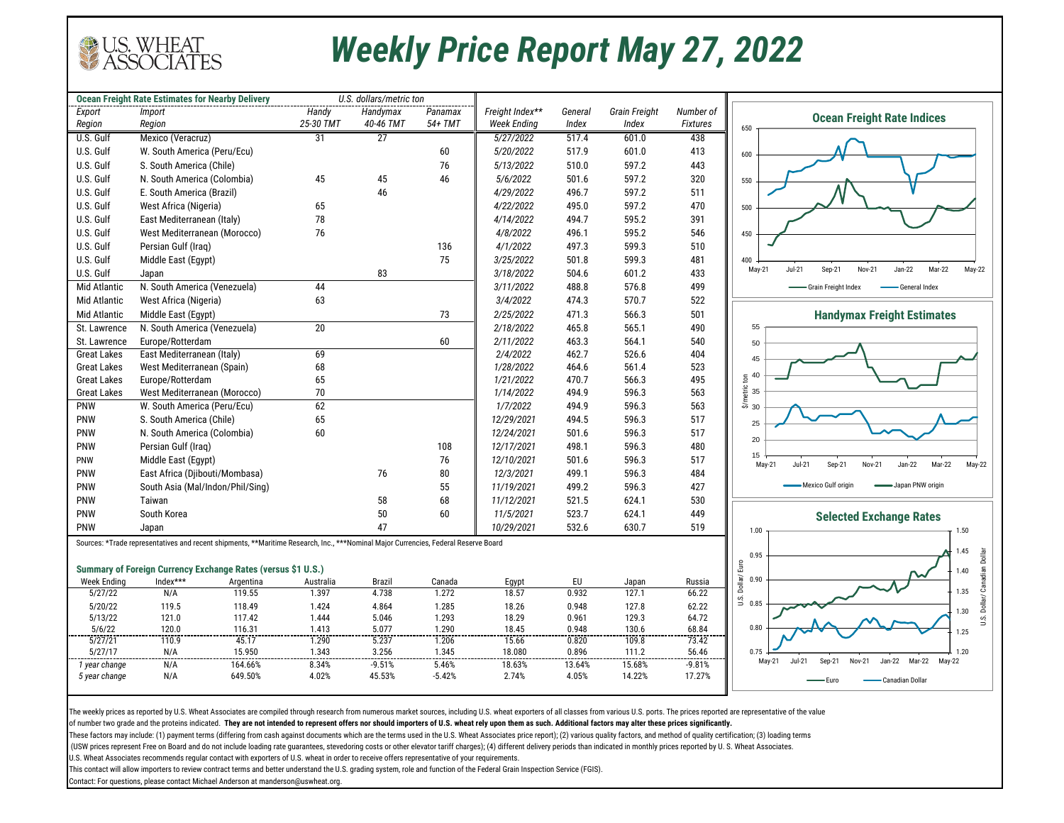The weekly prices as reported by U.S. Wheat Associates are compiled through research from numerous market sources, including U.S. wheat exporters of all classes from various U.S. ports. The prices reported are representati of number two grade and the proteins indicated. **They are not intended to represent offers nor should importers of U.S. wheat rely upon them as such. Additional factors may alter these prices significantly.** 

These factors may include: (1) payment terms (differing from cash against documents which are the terms used in the U.S. Wheat Associates price report); (2) various quality factors, and method of quality certification; (3) (USW prices represent Free on Board and do not include loading rate guarantees, stevedoring costs or other elevator tariff charges); (4) different delivery periods than indicated in monthly prices reported by U.S. Wheat As U.S. Wheat Associates recommends regular contact with exporters of U.S. wheat in order to receive offers representative of your requirements.

|                          | <b>Ocean Freight Rate Estimates for Nearby Delivery</b>                                                                             |                   |                | U.S. dollars/metric ton |                |                    |                 |                      |                   |
|--------------------------|-------------------------------------------------------------------------------------------------------------------------------------|-------------------|----------------|-------------------------|----------------|--------------------|-----------------|----------------------|-------------------|
| Export                   | <b>Import</b>                                                                                                                       |                   | Handy          | Handymax                | Panamax        | Freight Index**    | General         | <b>Grain Freight</b> | Number of         |
| Region                   | Region                                                                                                                              |                   | 25-30 TMT      | 40-46 TMT               | 54+ TMT        | <b>Week Ending</b> | Index           | Index                | <b>Fixtures</b>   |
| U.S. Gulf                | Mexico (Veracruz)                                                                                                                   |                   | 31             | 27                      |                | 5/27/2022          | 517.4           | 601.0                | 438               |
| U.S. Gulf                | W. South America (Peru/Ecu)                                                                                                         |                   |                |                         | 60             | 5/20/2022          | 517.9           | 601.0                | 413               |
| U.S. Gulf                | S. South America (Chile)                                                                                                            |                   |                |                         | 76             | 5/13/2022          | 510.0           | 597.2                | 443               |
| U.S. Gulf                | N. South America (Colombia)                                                                                                         |                   | 45             | 45                      | 46             | 5/6/2022           | 501.6           | 597.2                | 320               |
| U.S. Gulf                | E. South America (Brazil)                                                                                                           |                   |                | 46                      |                | 4/29/2022          | 496.7           | 597.2                | 511               |
| U.S. Gulf                | West Africa (Nigeria)                                                                                                               |                   | 65             |                         |                | 4/22/2022          | 495.0           | 597.2                | 470               |
| U.S. Gulf                | East Mediterranean (Italy)                                                                                                          |                   | 78             |                         |                | 4/14/2022          | 494.7           | 595.2                | 391               |
| U.S. Gulf                | West Mediterranean (Morocco)                                                                                                        |                   | 76             |                         |                | 4/8/2022           | 496.1           | 595.2                | 546               |
| U.S. Gulf                | Persian Gulf (Iraq)                                                                                                                 |                   |                |                         | 136            | 4/1/2022           | 497.3           | 599.3                | 510               |
| U.S. Gulf                | Middle East (Egypt)                                                                                                                 |                   |                |                         | 75             | 3/25/2022          | 501.8           | 599.3                | 481               |
| U.S. Gulf                | Japan                                                                                                                               |                   |                | 83                      |                | 3/18/2022          | 504.6           | 601.2                | 433               |
| <b>Mid Atlantic</b>      | N. South America (Venezuela)                                                                                                        |                   | 44             |                         |                | 3/11/2022          | 488.8           | 576.8                | 499               |
| <b>Mid Atlantic</b>      | West Africa (Nigeria)                                                                                                               |                   | 63             |                         |                | 3/4/2022           | 474.3           | 570.7                | 522               |
| <b>Mid Atlantic</b>      | Middle East (Egypt)                                                                                                                 |                   |                |                         | 73             | 2/25/2022          | 471.3           | 566.3                | 501               |
| St. Lawrence             | N. South America (Venezuela)                                                                                                        |                   | 20             |                         |                | 2/18/2022          | 465.8           | 565.1                | 490               |
| St. Lawrence             | Europe/Rotterdam                                                                                                                    |                   |                |                         | 60             | 2/11/2022          | 463.3           | 564.1                | 540               |
| <b>Great Lakes</b>       | East Mediterranean (Italy)                                                                                                          |                   | 69             |                         |                | 2/4/2022           | 462.7           | 526.6                | 404               |
| <b>Great Lakes</b>       | West Mediterranean (Spain)                                                                                                          |                   | 68             |                         |                | 1/28/2022          | 464.6           | 561.4                | 523               |
| <b>Great Lakes</b>       | Europe/Rotterdam                                                                                                                    |                   | 65             |                         |                | 1/21/2022          | 470.7           | 566.3                | 495               |
| <b>Great Lakes</b>       | West Mediterranean (Morocco)                                                                                                        |                   | 70             |                         |                | 1/14/2022          | 494.9           | 596.3                | 563               |
| <b>PNW</b>               | W. South America (Peru/Ecu)                                                                                                         |                   | 62             |                         |                | 1/7/2022           | 494.9           | 596.3                | 563               |
| <b>PNW</b>               | S. South America (Chile)                                                                                                            |                   | 65             |                         |                | 12/29/2021         | 494.5           | 596.3                | 517               |
| <b>PNW</b>               | N. South America (Colombia)                                                                                                         |                   | 60             |                         |                | 12/24/2021         | 501.6           | 596.3                | 517               |
| <b>PNW</b>               | Persian Gulf (Iraq)                                                                                                                 |                   |                |                         | 108            | 12/17/2021         | 498.1           | 596.3                | 480               |
| PNW                      | Middle East (Egypt)                                                                                                                 |                   |                |                         | 76             | 12/10/2021         | 501.6           | 596.3                | 517               |
| PNW                      | East Africa (Djibouti/Mombasa)                                                                                                      |                   |                | 76                      | 80             | 12/3/2021          | 499.1           | 596.3                | 484               |
| PNW                      | South Asia (Mal/Indon/Phil/Sing)                                                                                                    |                   |                |                         | 55             | 11/19/2021         | 499.2           | 596.3                | 427               |
| <b>PNW</b>               | Taiwan                                                                                                                              |                   |                | 58                      | 68             | 11/12/2021         | 521.5           | 624.1                | 530               |
| <b>PNW</b>               | South Korea                                                                                                                         |                   |                | 50                      | 60             | 11/5/2021          | 523.7           | 624.1                | 449               |
| <b>PNW</b>               | Japan                                                                                                                               |                   |                | 47                      |                | 10/29/2021         | 532.6           | 630.7                | 519               |
|                          | Sources: *Trade representatives and recent shipments, **Maritime Research, Inc., ***Nominal Major Currencies, Federal Reserve Board |                   |                |                         |                |                    |                 |                      |                   |
|                          |                                                                                                                                     |                   |                |                         |                |                    |                 |                      |                   |
|                          | <b>Summary of Foreign Currency Exchange Rates (versus \$1 U.S.)</b>                                                                 |                   |                |                         |                |                    |                 |                      |                   |
| <b>Week Ending</b>       | Index***                                                                                                                            | Argentina         | Australia      | <b>Brazil</b>           | Canada         | Egypt              | EU              | Japan                | Russia            |
| 5/27/22                  | N/A                                                                                                                                 | 119.55            | 1.397          | 4.738                   | 1.272          | 18.57              | 0.932           | $\overline{1}27.1$   | 66.22             |
| 5/20/22                  | 119.5                                                                                                                               | 118.49            | 1.424          | 4.864                   | 1.285          | 18.26              | 0.948           | 127.8                | 62.22             |
|                          |                                                                                                                                     |                   |                | 5.046                   | 1.293          | 18.29              | 0.961           | 129.3                | 64.72             |
| 5/13/22                  | 121.0                                                                                                                               | 117.42            | 1.444          |                         |                |                    |                 |                      |                   |
| 5/6/22                   | 120.0                                                                                                                               | 116.31            | 1.413          | 5.077                   | 1.290          | 18.45              | 0.948           | 130.6                | 68.84             |
| 5/27/21                  | 110.9                                                                                                                               | 45.17             | 1.290          | 5.237                   | 1.206          | 15.66              | 0.820           | 109.8                | 73.42             |
| 5/27/17<br>1 year change | N/A<br>N/A                                                                                                                          | 15.950<br>164.66% | 1.343<br>8.34% | 3.256<br>$-9.51%$       | 1.345<br>5.46% | 18.080<br>18.63%   | 0.896<br>13.64% | 111.2<br>15.68%      | 56.46<br>$-9.81%$ |

This contact will allow importers to review contract terms and better understand the U.S. grading system, role and function of the Federal Grain Inspection Service (FGIS).

Contact: For questions, please contact Michael Anderson at manderson@uswheat.org.



### *Weekly Price Report May 27, 2022*

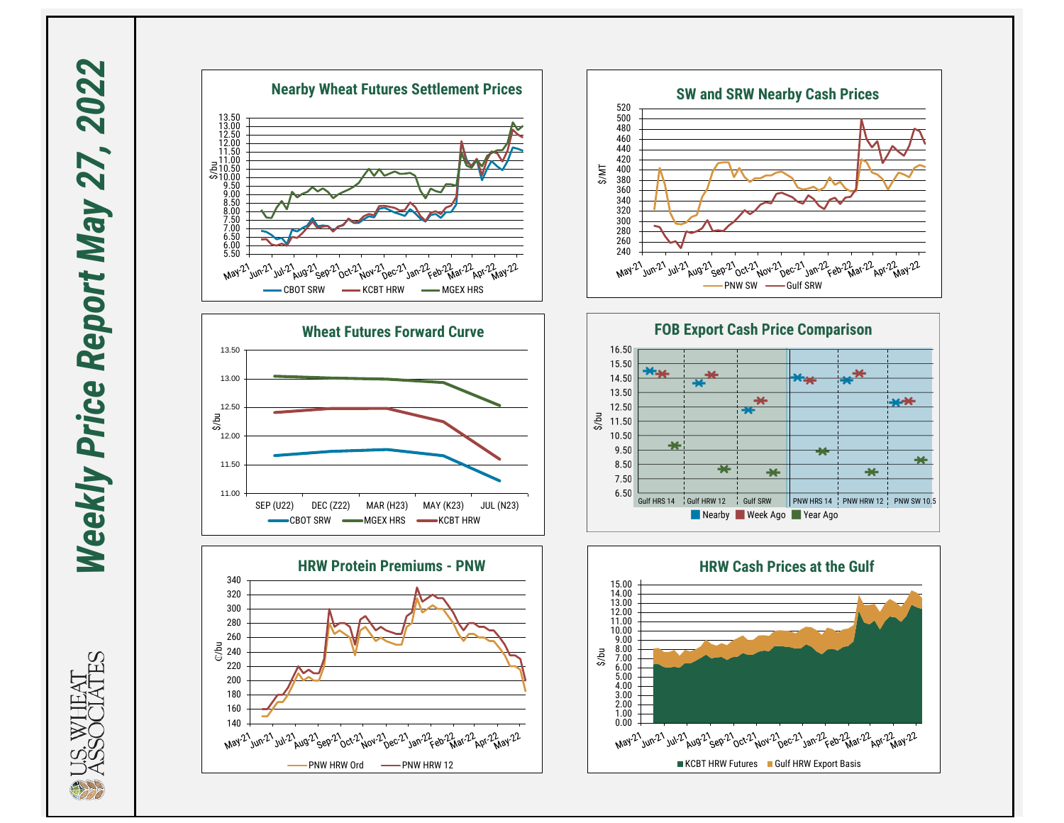